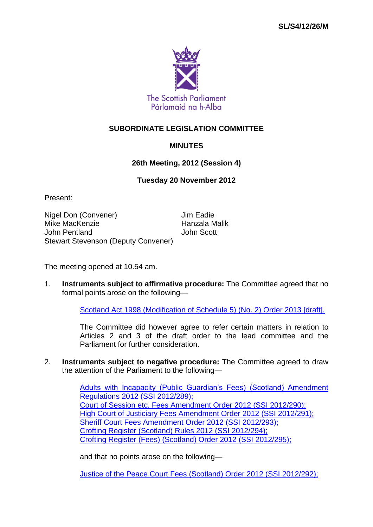

## **SUBORDINATE LEGISLATION COMMITTEE**

## **MINUTES**

## **26th Meeting, 2012 (Session 4)**

## **Tuesday 20 November 2012**

Present:

Nigel Don (Convener) Jim Eadie Mike MacKenzie **Hanzala Malik** John Pentland John Scott Stewart Stevenson (Deputy Convener)

The meeting opened at 10.54 am.

1. **Instruments subject to affirmative procedure:** The Committee agreed that no formal points arose on the following—

[Scotland Act 1998 \(Modification of Schedule 5\) \(No. 2\) Order 2013 \[draft\].](http://www.legislation.gov.uk/ukdsi/2013/9780111530818/contents)

The Committee did however agree to refer certain matters in relation to Articles 2 and 3 of the draft order to the lead committee and the Parliament for further consideration.

2. **Instruments subject to negative procedure:** The Committee agreed to draw the attention of the Parliament to the following—

> [Adults with Incapacity \(Public Guardian's Fees\) \(Scotland\) Amendment](http://www.legislation.gov.uk/ssi/2012/289/contents/made)  [Regulations 2012 \(SSI](http://www.legislation.gov.uk/ssi/2012/289/contents/made) 2012/289); [Court of Session etc. Fees Amendment Order 2012 \(SSI](http://www.legislation.gov.uk/ssi/2012/290/contents/made) 2012/290); [High Court of Justiciary Fees Amendment Order 2012 \(SSI](http://www.legislation.gov.uk/ssi/2012/291/contents/made) 2012/291); [Sheriff Court Fees Amendment Order 2012 \(SSI](http://www.legislation.gov.uk/ssi/2012/293/contents/made) 2012/293); [Crofting Register \(Scotland\)](http://www.legislation.gov.uk/ssi/2012/294/contents/made) Rules 2012 (SSI 2012/294); [Crofting Register \(Fees\) \(Scotland\) Order 2012 \(SSI](http://www.legislation.gov.uk/2012/295) 2012/295);

and that no points arose on the following—

[Justice of the Peace Court Fees \(Scotland\) Order 2012 \(SSI](http://www.legislation.gov.uk/ssi/2012/292/contents/made) 2012/292);